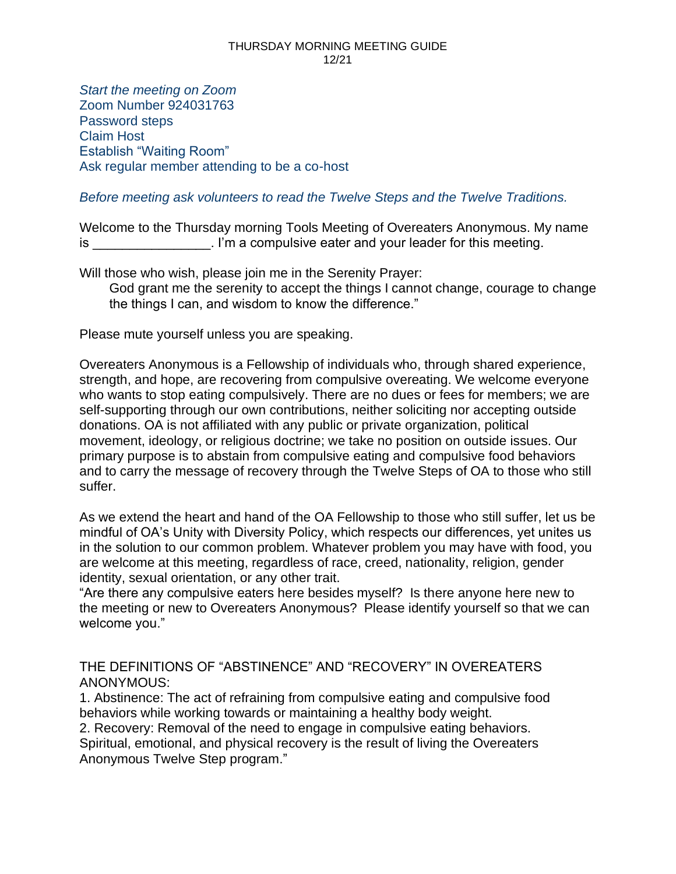*Start the meeting on Zoom* Zoom Number 924031763 Password steps Claim Host Establish "Waiting Room" Ask regular member attending to be a co-host

### *Before meeting ask volunteers to read the Twelve Steps and the Twelve Traditions.*

Welcome to the Thursday morning Tools Meeting of Overeaters Anonymous. My name is **im** a compulsive eater and your leader for this meeting.

Will those who wish, please join me in the Serenity Prayer: God grant me the serenity to accept the things I cannot change, courage to change the things I can, and wisdom to know the difference."

Please mute yourself unless you are speaking.

Overeaters Anonymous is a Fellowship of individuals who, through shared experience, strength, and hope, are recovering from compulsive overeating. We welcome everyone who wants to stop eating compulsively. There are no dues or fees for members; we are self-supporting through our own contributions, neither soliciting nor accepting outside donations. OA is not affiliated with any public or private organization, political movement, ideology, or religious doctrine; we take no position on outside issues. Our primary purpose is to abstain from compulsive eating and compulsive food behaviors and to carry the message of recovery through the Twelve Steps of OA to those who still suffer.

As we extend the heart and hand of the OA Fellowship to those who still suffer, let us be mindful of OA's Unity with Diversity Policy, which respects our differences, yet unites us in the solution to our common problem. Whatever problem you may have with food, you are welcome at this meeting, regardless of race, creed, nationality, religion, gender identity, sexual orientation, or any other trait.

"Are there any compulsive eaters here besides myself? Is there anyone here new to the meeting or new to Overeaters Anonymous? Please identify yourself so that we can welcome you."

THE DEFINITIONS OF "ABSTINENCE" AND "RECOVERY" IN OVEREATERS ANONYMOUS:

1. Abstinence: The act of refraining from compulsive eating and compulsive food behaviors while working towards or maintaining a healthy body weight.

2. Recovery: Removal of the need to engage in compulsive eating behaviors.

Spiritual, emotional, and physical recovery is the result of living the Overeaters Anonymous Twelve Step program."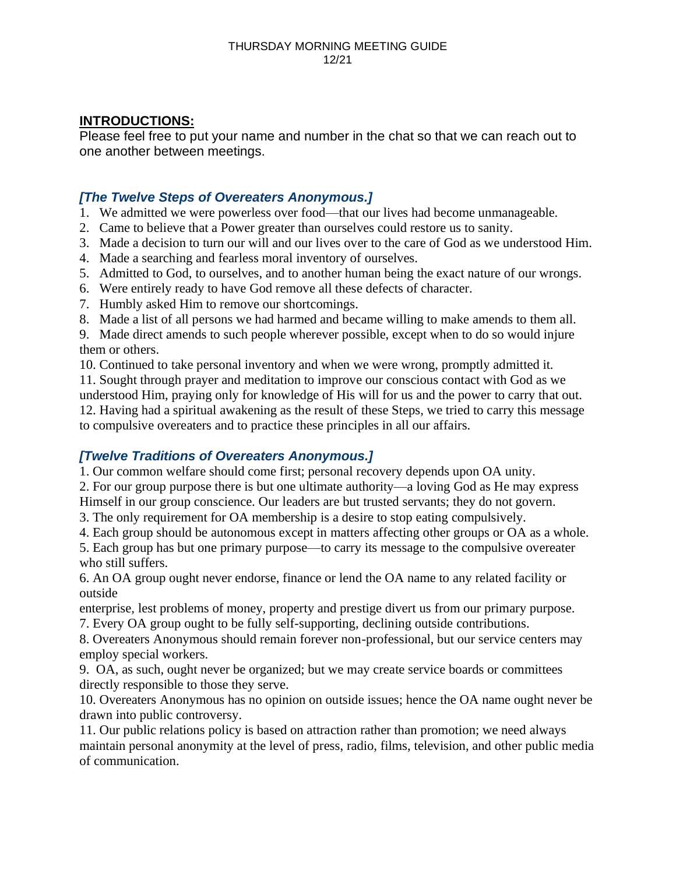## **INTRODUCTIONS:**

Please feel free to put your name and number in the chat so that we can reach out to one another between meetings.

## *[The Twelve Steps of Overeaters Anonymous.]*

1. We admitted we were powerless over food—that our lives had become unmanageable.

- 2. Came to believe that a Power greater than ourselves could restore us to sanity.
- 3. Made a decision to turn our will and our lives over to the care of God as we understood Him.
- 4. Made a searching and fearless moral inventory of ourselves.
- 5. Admitted to God, to ourselves, and to another human being the exact nature of our wrongs.
- 6. Were entirely ready to have God remove all these defects of character.
- 7. Humbly asked Him to remove our shortcomings.
- 8. Made a list of all persons we had harmed and became willing to make amends to them all.

9. Made direct amends to such people wherever possible, except when to do so would injure them or others.

10. Continued to take personal inventory and when we were wrong, promptly admitted it.

11. Sought through prayer and meditation to improve our conscious contact with God as we understood Him, praying only for knowledge of His will for us and the power to carry that out. 12. Having had a spiritual awakening as the result of these Steps, we tried to carry this message to compulsive overeaters and to practice these principles in all our affairs.

# *[Twelve Traditions of Overeaters Anonymous.]*

1. Our common welfare should come first; personal recovery depends upon OA unity.

2. For our group purpose there is but one ultimate authority—a loving God as He may express

Himself in our group conscience. Our leaders are but trusted servants; they do not govern. 3. The only requirement for OA membership is a desire to stop eating compulsively.

4. Each group should be autonomous except in matters affecting other groups or OA as a whole.

5. Each group has but one primary purpose—to carry its message to the compulsive overeater who still suffers.

6. An OA group ought never endorse, finance or lend the OA name to any related facility or outside

enterprise, lest problems of money, property and prestige divert us from our primary purpose. 7. Every OA group ought to be fully self-supporting, declining outside contributions.

8. Overeaters Anonymous should remain forever non-professional, but our service centers may employ special workers.

9. OA, as such, ought never be organized; but we may create service boards or committees directly responsible to those they serve.

10. Overeaters Anonymous has no opinion on outside issues; hence the OA name ought never be drawn into public controversy.

11. Our public relations policy is based on attraction rather than promotion; we need always maintain personal anonymity at the level of press, radio, films, television, and other public media of communication.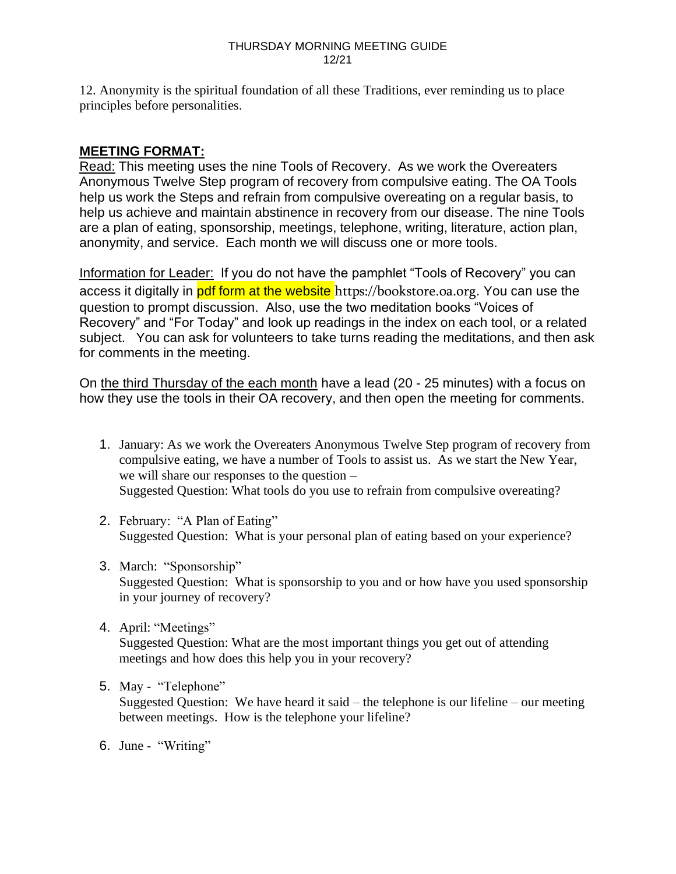12. Anonymity is the spiritual foundation of all these Traditions, ever reminding us to place principles before personalities.

## **MEETING FORMAT:**

Read: This meeting uses the nine Tools of Recovery. As we work the Overeaters Anonymous Twelve Step program of recovery from compulsive eating. The OA Tools help us work the Steps and refrain from compulsive overeating on a regular basis, to help us achieve and maintain abstinence in recovery from our disease. The nine Tools are a plan of eating, sponsorship, meetings, telephone, writing, literature, action plan, anonymity, and service. Each month we will discuss one or more tools.

Information for Leader: If you do not have the pamphlet "Tools of Recovery" you can access it digitally in pdf form at the website https://bookstore.oa.org. You can use the question to prompt discussion. Also, use the two meditation books "Voices of Recovery" and "For Today" and look up readings in the index on each tool, or a related subject. You can ask for volunteers to take turns reading the meditations, and then ask for comments in the meeting.

On the third Thursday of the each month have a lead (20 - 25 minutes) with a focus on how they use the tools in their OA recovery, and then open the meeting for comments.

- 1. January: As we work the Overeaters Anonymous Twelve Step program of recovery from compulsive eating, we have a number of Tools to assist us. As we start the New Year, we will share our responses to the question – Suggested Question: What tools do you use to refrain from compulsive overeating?
- 2. February: "A Plan of Eating" Suggested Question: What is your personal plan of eating based on your experience?
- 3. March: "Sponsorship" Suggested Question: What is sponsorship to you and or how have you used sponsorship in your journey of recovery?
- 4. April: "Meetings" Suggested Question: What are the most important things you get out of attending meetings and how does this help you in your recovery?
- 5. May "Telephone" Suggested Question: We have heard it said – the telephone is our lifeline – our meeting between meetings. How is the telephone your lifeline?
- 6. June "Writing"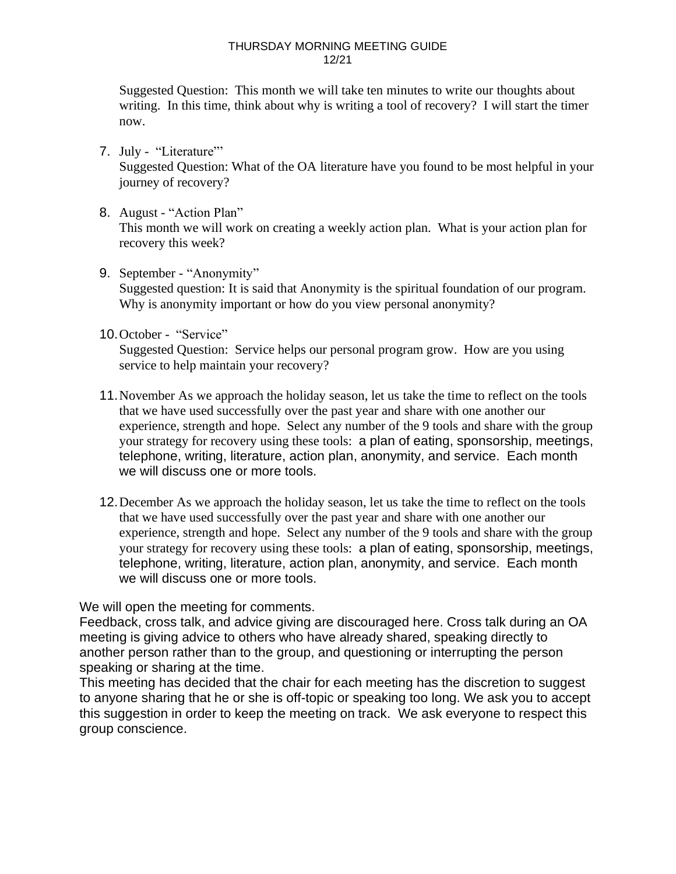Suggested Question: This month we will take ten minutes to write our thoughts about writing. In this time, think about why is writing a tool of recovery? I will start the timer now.

- 7. July "Literature"' Suggested Question: What of the OA literature have you found to be most helpful in your journey of recovery?
- 8. August "Action Plan" This month we will work on creating a weekly action plan. What is your action plan for recovery this week?
- 9. September "Anonymity" Suggested question: It is said that Anonymity is the spiritual foundation of our program. Why is anonymity important or how do you view personal anonymity?
- 10.October "Service"

Suggested Question: Service helps our personal program grow. How are you using service to help maintain your recovery?

- 11.November As we approach the holiday season, let us take the time to reflect on the tools that we have used successfully over the past year and share with one another our experience, strength and hope. Select any number of the 9 tools and share with the group your strategy for recovery using these tools: a plan of eating, sponsorship, meetings, telephone, writing, literature, action plan, anonymity, and service. Each month we will discuss one or more tools.
- 12.December As we approach the holiday season, let us take the time to reflect on the tools that we have used successfully over the past year and share with one another our experience, strength and hope. Select any number of the 9 tools and share with the group your strategy for recovery using these tools: a plan of eating, sponsorship, meetings, telephone, writing, literature, action plan, anonymity, and service. Each month we will discuss one or more tools.

We will open the meeting for comments.

Feedback, cross talk, and advice giving are discouraged here. Cross talk during an OA meeting is giving advice to others who have already shared, speaking directly to another person rather than to the group, and questioning or interrupting the person speaking or sharing at the time.

This meeting has decided that the chair for each meeting has the discretion to suggest to anyone sharing that he or she is off-topic or speaking too long. We ask you to accept this suggestion in order to keep the meeting on track. We ask everyone to respect this group conscience.